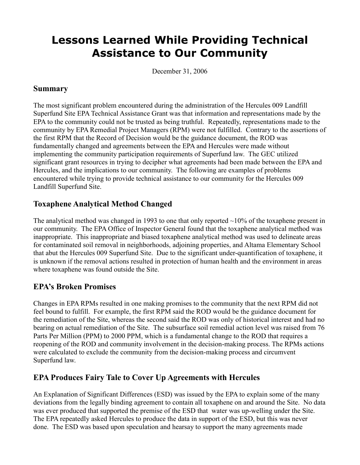# **Lessons Learned While Providing Technical Assistance to Our Community**

December 31, 2006

#### **Summary**

The most significant problem encountered during the administration of the Hercules 009 Landfill Superfund Site EPA Technical Assistance Grant was that information and representations made by the EPA to the community could not be trusted as being truthful. Repeatedly, representations made to the community by EPA Remedial Project Managers (RPM) were not fulfilled. Contrary to the assertions of the first RPM that the Record of Decision would be the guidance document, the ROD was fundamentally changed and agreements between the EPA and Hercules were made without implementing the community participation requirements of Superfund law. The GEC utilized significant grant resources in trying to decipher what agreements had been made between the EPA and Hercules, and the implications to our community. The following are examples of problems encountered while trying to provide technical assistance to our community for the Hercules 009 Landfill Superfund Site.

#### **Toxaphene Analytical Method Changed**

The analytical method was changed in 1993 to one that only reported  $\sim$ 10% of the toxaphene present in our community. The EPA Office of Inspector General found that the toxaphene analytical method was inappropriate. This inappropriate and biased toxaphene analytical method was used to delineate areas for contaminated soil removal in neighborhoods, adjoining properties, and Altama Elementary School that abut the Hercules 009 Superfund Site. Due to the significant under-quantification of toxaphene, it is unknown if the removal actions resulted in protection of human health and the environment in areas where toxaphene was found outside the Site.

#### **EPA's Broken Promises**

Changes in EPA RPMs resulted in one making promises to the community that the next RPM did not feel bound to fulfill. For example, the first RPM said the ROD would be the guidance document for the remediation of the Site, whereas the second said the ROD was only of historical interest and had no bearing on actual remediation of the Site. The subsurface soil remedial action level was raised from 76 Parts Per Million (PPM) to 2000 PPM, which is a fundamental change to the ROD that requires a reopening of the ROD and community involvement in the decision-making process. The RPMs actions were calculated to exclude the community from the decision-making process and circumvent Superfund law.

### **EPA Produces Fairy Tale to Cover Up Agreements with Hercules**

An Explanation of Significant Differences (ESD) was issued by the EPA to explain some of the many deviations from the legally binding agreement to contain all toxaphene on and around the Site. No data was ever produced that supported the premise of the ESD that water was up-welling under the Site. The EPA repeatedly asked Hercules to produce the data in support of the ESD, but this was never done. The ESD was based upon speculation and hearsay to support the many agreements made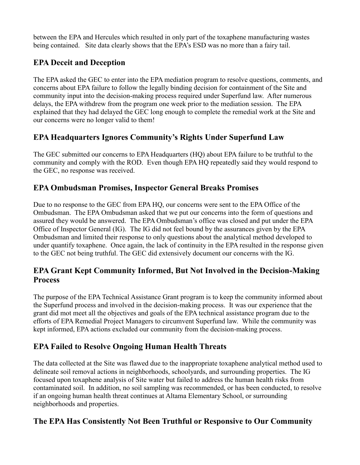between the EPA and Hercules which resulted in only part of the toxaphene manufacturing wastes being contained. Site data clearly shows that the EPA's ESD was no more than a fairy tail.

## **EPA Deceit and Deception**

The EPA asked the GEC to enter into the EPA mediation program to resolve questions, comments, and concerns about EPA failure to follow the legally binding decision for containment of the Site and community input into the decision-making process required under Superfund law. After numerous delays, the EPA withdrew from the program one week prior to the mediation session. The EPA explained that they had delayed the GEC long enough to complete the remedial work at the Site and our concerns were no longer valid to them!

### **EPA Headquarters Ignores Community's Rights Under Superfund Law**

The GEC submitted our concerns to EPA Headquarters (HQ) about EPA failure to be truthful to the community and comply with the ROD. Even though EPA HQ repeatedly said they would respond to the GEC, no response was received.

#### **EPA Ombudsman Promises, Inspector General Breaks Promises**

Due to no response to the GEC from EPA HQ, our concerns were sent to the EPA Office of the Ombudsman. The EPA Ombudsman asked that we put our concerns into the form of questions and assured they would be answered. The EPA Ombudsman's office was closed and put under the EPA Office of Inspector General (IG). The IG did not feel bound by the assurances given by the EPA Ombudsman and limited their response to only questions about the analytical method developed to under quantify toxaphene. Once again, the lack of continuity in the EPA resulted in the response given to the GEC not being truthful. The GEC did extensively document our concerns with the IG.

### **EPA Grant Kept Community Informed, But Not Involved in the Decision-Making Process**

The purpose of the EPA Technical Assistance Grant program is to keep the community informed about the Superfund process and involved in the decision-making process. It was our experience that the grant did mot meet all the objectives and goals of the EPA technical assistance program due to the efforts of EPA Remedial Project Managers to circumvent Superfund law. While the community was kept informed, EPA actions excluded our community from the decision-making process.

# **EPA Failed to Resolve Ongoing Human Health Threats**

The data collected at the Site was flawed due to the inappropriate toxaphene analytical method used to delineate soil removal actions in neighborhoods, schoolyards, and surrounding properties. The IG focused upon toxaphene analysis of Site water but failed to address the human health risks from contaminated soil. In addition, no soil sampling was recommended, or has been conducted, to resolve if an ongoing human health threat continues at Altama Elementary School, or surrounding neighborhoods and properties.

### **The EPA Has Consistently Not Been Truthful or Responsive to Our Community**